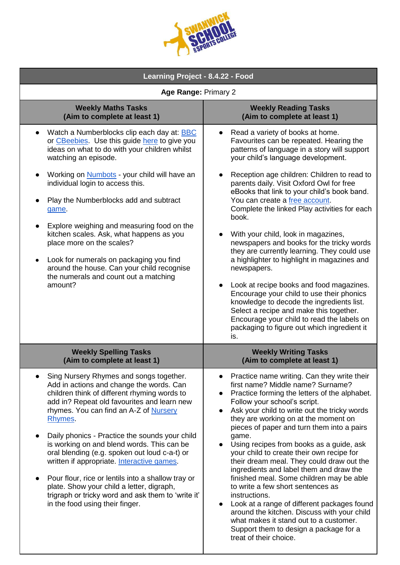| Learning Project - 8.4.22 - Food                                                                                                                                                                                                                                                                                                                                                                                                                                                                                                                                                                                                   |                                                                                                                                                                                                                                                                                                                                                                                                                                                                                                                                                                                                                                                                                                                                                                                                                 |
|------------------------------------------------------------------------------------------------------------------------------------------------------------------------------------------------------------------------------------------------------------------------------------------------------------------------------------------------------------------------------------------------------------------------------------------------------------------------------------------------------------------------------------------------------------------------------------------------------------------------------------|-----------------------------------------------------------------------------------------------------------------------------------------------------------------------------------------------------------------------------------------------------------------------------------------------------------------------------------------------------------------------------------------------------------------------------------------------------------------------------------------------------------------------------------------------------------------------------------------------------------------------------------------------------------------------------------------------------------------------------------------------------------------------------------------------------------------|
| Age Range: Primary 2                                                                                                                                                                                                                                                                                                                                                                                                                                                                                                                                                                                                               |                                                                                                                                                                                                                                                                                                                                                                                                                                                                                                                                                                                                                                                                                                                                                                                                                 |
| <b>Weekly Maths Tasks</b><br>(Aim to complete at least 1)                                                                                                                                                                                                                                                                                                                                                                                                                                                                                                                                                                          | <b>Weekly Reading Tasks</b><br>(Aim to complete at least 1)                                                                                                                                                                                                                                                                                                                                                                                                                                                                                                                                                                                                                                                                                                                                                     |
| Watch a Numberblocks clip each day at: <b>BBC</b><br>or CBeebies. Use this guide here to give you<br>ideas on what to do with your children whilst<br>watching an episode.                                                                                                                                                                                                                                                                                                                                                                                                                                                         | Read a variety of books at home.<br>Favourites can be repeated. Hearing the<br>patterns of language in a story will support<br>your child's language development.                                                                                                                                                                                                                                                                                                                                                                                                                                                                                                                                                                                                                                               |
| Working on <b>Numbots</b> - your child will have an<br>individual login to access this.<br>Play the Numberblocks add and subtract<br>game.<br>Explore weighing and measuring food on the<br>kitchen scales. Ask, what happens as you<br>place more on the scales?<br>Look for numerals on packaging you find<br>around the house. Can your child recognise<br>the numerals and count out a matching<br>amount?                                                                                                                                                                                                                     | Reception age children: Children to read to<br>parents daily. Visit Oxford Owl for free<br>eBooks that link to your child's book band.<br>You can create a free account.<br>Complete the linked Play activities for each<br>book.<br>With your child, look in magazines,<br>newspapers and books for the tricky words<br>they are currently learning. They could use<br>a highlighter to highlight in magazines and<br>newspapers.<br>Look at recipe books and food magazines.<br>Encourage your child to use their phonics<br>knowledge to decode the ingredients list.<br>Select a recipe and make this together.<br>Encourage your child to read the labels on<br>packaging to figure out which ingredient it<br>is.                                                                                         |
| <b>Weekly Spelling Tasks</b><br>(Aim to complete at least 1)                                                                                                                                                                                                                                                                                                                                                                                                                                                                                                                                                                       | <b>Weekly Writing Tasks</b><br>(Aim to complete at least 1)                                                                                                                                                                                                                                                                                                                                                                                                                                                                                                                                                                                                                                                                                                                                                     |
| Sing Nursery Rhymes and songs together.<br>Add in actions and change the words. Can<br>children think of different rhyming words to<br>add in? Repeat old favourites and learn new<br>rhymes. You can find an A-Z of Nursery<br>Rhymes.<br>Daily phonics - Practice the sounds your child<br>is working on and blend words. This can be<br>oral blending (e.g. spoken out loud c-a-t) or<br>written if appropriate. Interactive games.<br>Pour flour, rice or lentils into a shallow tray or<br>plate. Show your child a letter, digraph,<br>trigraph or tricky word and ask them to 'write it'<br>in the food using their finger. | Practice name writing. Can they write their<br>first name? Middle name? Surname?<br>Practice forming the letters of the alphabet.<br>Follow your school's script.<br>Ask your child to write out the tricky words<br>they are working on at the moment on<br>pieces of paper and turn them into a pairs<br>game.<br>Using recipes from books as a guide, ask<br>your child to create their own recipe for<br>their dream meal. They could draw out the<br>ingredients and label them and draw the<br>finished meal. Some children may be able<br>to write a few short sentences as<br>instructions.<br>Look at a range of different packages found<br>around the kitchen. Discuss with your child<br>what makes it stand out to a customer.<br>Support them to design a package for a<br>treat of their choice. |